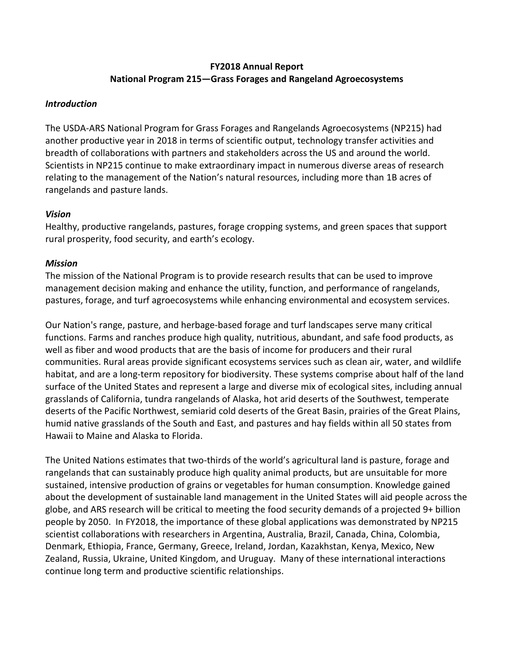# **FY2018 Annual Report National Program 215—Grass Forages and Rangeland Agroecosystems**

## *Introduction*

The USDA-ARS National Program for Grass Forages and Rangelands Agroecosystems (NP215) had another productive year in 2018 in terms of scientific output, technology transfer activities and breadth of collaborations with partners and stakeholders across the US and around the world. Scientists in NP215 continue to make extraordinary impact in numerous diverse areas of research relating to the management of the Nation's natural resources, including more than 1B acres of rangelands and pasture lands.

## *Vision*

Healthy, productive rangelands, pastures, forage cropping systems, and green spaces that support rural prosperity, food security, and earth's ecology.

## *Mission*

The mission of the National Program is to provide research results that can be used to improve management decision making and enhance the utility, function, and performance of rangelands, pastures, forage, and turf agroecosystems while enhancing environmental and ecosystem services.

Our Nation's range, pasture, and herbage-based forage and turf landscapes serve many critical functions. Farms and ranches produce high quality, nutritious, abundant, and safe food products, as well as fiber and wood products that are the basis of income for producers and their rural communities. Rural areas provide significant ecosystems services such as clean air, water, and wildlife habitat, and are a long-term repository for biodiversity. These systems comprise about half of the land surface of the United States and represent a large and diverse mix of ecological sites, including annual grasslands of California, tundra rangelands of Alaska, hot arid deserts of the Southwest, temperate deserts of the Pacific Northwest, semiarid cold deserts of the Great Basin, prairies of the Great Plains, humid native grasslands of the South and East, and pastures and hay fields within all 50 states from Hawaii to Maine and Alaska to Florida.

The United Nations estimates that two-thirds of the world's agricultural land is pasture, forage and rangelands that can sustainably produce high quality animal products, but are unsuitable for more sustained, intensive production of grains or vegetables for human consumption. Knowledge gained about the development of sustainable land management in the United States will aid people across the globe, and ARS research will be critical to meeting the food security demands of a projected 9+ billion people by 2050. In FY2018, the importance of these global applications was demonstrated by NP215 scientist collaborations with researchers in Argentina, Australia, Brazil, Canada, China, Colombia, Denmark, Ethiopia, France, Germany, Greece, Ireland, Jordan, Kazakhstan, Kenya, Mexico, New Zealand, Russia, Ukraine, United Kingdom, and Uruguay. Many of these international interactions continue long term and productive scientific relationships.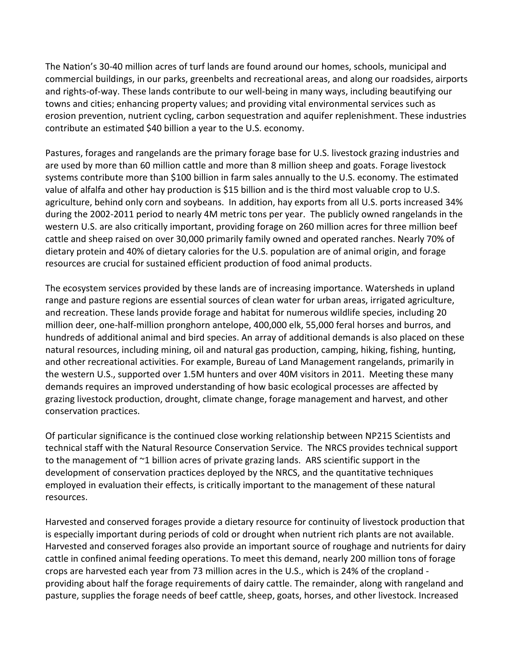The Nation's 30-40 million acres of turf lands are found around our homes, schools, municipal and commercial buildings, in our parks, greenbelts and recreational areas, and along our roadsides, airports and rights-of-way. These lands contribute to our well-being in many ways, including beautifying our towns and cities; enhancing property values; and providing vital environmental services such as erosion prevention, nutrient cycling, carbon sequestration and aquifer replenishment. These industries contribute an estimated \$40 billion a year to the U.S. economy.

Pastures, forages and rangelands are the primary forage base for U.S. livestock grazing industries and are used by more than 60 million cattle and more than 8 million sheep and goats. Forage livestock systems contribute more than \$100 billion in farm sales annually to the U.S. economy. The estimated value of alfalfa and other hay production is \$15 billion and is the third most valuable crop to U.S. agriculture, behind only corn and soybeans. In addition, hay exports from all U.S. ports increased 34% during the 2002-2011 period to nearly 4M metric tons per year. The publicly owned rangelands in the western U.S. are also critically important, providing forage on 260 million acres for three million beef cattle and sheep raised on over 30,000 primarily family owned and operated ranches. Nearly 70% of dietary protein and 40% of dietary calories for the U.S. population are of animal origin, and forage resources are crucial for sustained efficient production of food animal products.

The ecosystem services provided by these lands are of increasing importance. Watersheds in upland range and pasture regions are essential sources of clean water for urban areas, irrigated agriculture, and recreation. These lands provide forage and habitat for numerous wildlife species, including 20 million deer, one-half-million pronghorn antelope, 400,000 elk, 55,000 feral horses and burros, and hundreds of additional animal and bird species. An array of additional demands is also placed on these natural resources, including mining, oil and natural gas production, camping, hiking, fishing, hunting, and other recreational activities. For example, Bureau of Land Management rangelands, primarily in the western U.S., supported over 1.5M hunters and over 40M visitors in 2011. Meeting these many demands requires an improved understanding of how basic ecological processes are affected by grazing livestock production, drought, climate change, forage management and harvest, and other conservation practices.

Of particular significance is the continued close working relationship between NP215 Scientists and technical staff with the Natural Resource Conservation Service. The NRCS provides technical support to the management of ~1 billion acres of private grazing lands. ARS scientific support in the development of conservation practices deployed by the NRCS, and the quantitative techniques employed in evaluation their effects, is critically important to the management of these natural resources.

Harvested and conserved forages provide a dietary resource for continuity of livestock production that is especially important during periods of cold or drought when nutrient rich plants are not available. Harvested and conserved forages also provide an important source of roughage and nutrients for dairy cattle in confined animal feeding operations. To meet this demand, nearly 200 million tons of forage crops are harvested each year from 73 million acres in the U.S., which is 24% of the cropland providing about half the forage requirements of dairy cattle. The remainder, along with rangeland and pasture, supplies the forage needs of beef cattle, sheep, goats, horses, and other livestock. Increased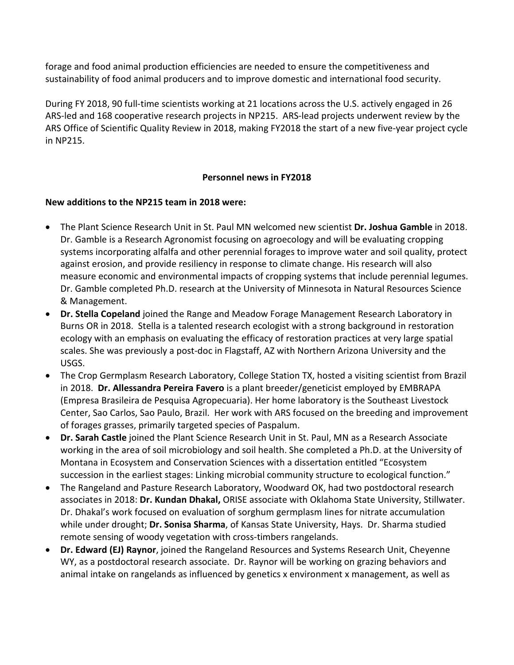forage and food animal production efficiencies are needed to ensure the competitiveness and sustainability of food animal producers and to improve domestic and international food security.

During FY 2018, 90 full-time scientists working at 21 locations across the U.S. actively engaged in 26 ARS-led and 168 cooperative research projects in NP215. ARS-lead projects underwent review by the ARS Office of Scientific Quality Review in 2018, making FY2018 the start of a new five-year project cycle in NP215.

# **Personnel news in FY2018**

### **New additions to the NP215 team in 2018 were:**

- The Plant Science Research Unit in St. Paul MN welcomed new scientist **Dr. Joshua Gamble** in 2018. Dr. Gamble is a Research Agronomist focusing on agroecology and will be evaluating cropping systems incorporating alfalfa and other perennial forages to improve water and soil quality, protect against erosion, and provide resiliency in response to climate change. His research will also measure economic and environmental impacts of cropping systems that include perennial legumes. Dr. Gamble completed Ph.D. research at the University of Minnesota in Natural Resources Science & Management.
- **Dr. Stella Copeland** joined the Range and Meadow Forage Management Research Laboratory in Burns OR in 2018. Stella is a talented research ecologist with a strong background in restoration ecology with an emphasis on evaluating the efficacy of restoration practices at very large spatial scales. She was previously a post-doc in Flagstaff, AZ with Northern Arizona University and the USGS.
- The Crop Germplasm Research Laboratory, College Station TX, hosted a visiting scientist from Brazil in 2018. **Dr. Allessandra Pereira Favero** is a plant breeder/geneticist employed by EMBRAPA (Empresa Brasileira de Pesquisa Agropecuaria). Her home laboratory is the Southeast Livestock Center, Sao Carlos, Sao Paulo, Brazil. Her work with ARS focused on the breeding and improvement of forages grasses, primarily targeted species of Paspalum.
- **Dr. Sarah Castle** joined the Plant Science Research Unit in St. Paul, MN as a Research Associate working in the area of soil microbiology and soil health. She completed a Ph.D. at the University of Montana in Ecosystem and Conservation Sciences with a dissertation entitled "Ecosystem succession in the earliest stages: Linking microbial community structure to ecological function."
- The Rangeland and Pasture Research Laboratory, Woodward OK, had two postdoctoral research associates in 2018: **Dr. Kundan Dhakal,** ORISE associate with Oklahoma State University, Stillwater. Dr. Dhakal's work focused on evaluation of sorghum germplasm lines for nitrate accumulation while under drought; **Dr. Sonisa Sharma**, of Kansas State University, Hays. Dr. Sharma studied remote sensing of woody vegetation with cross-timbers rangelands.
- **Dr. Edward (EJ) Raynor**, joined the Rangeland Resources and Systems Research Unit, Cheyenne WY, as a postdoctoral research associate. Dr. Raynor will be working on grazing behaviors and animal intake on rangelands as influenced by genetics x environment x management, as well as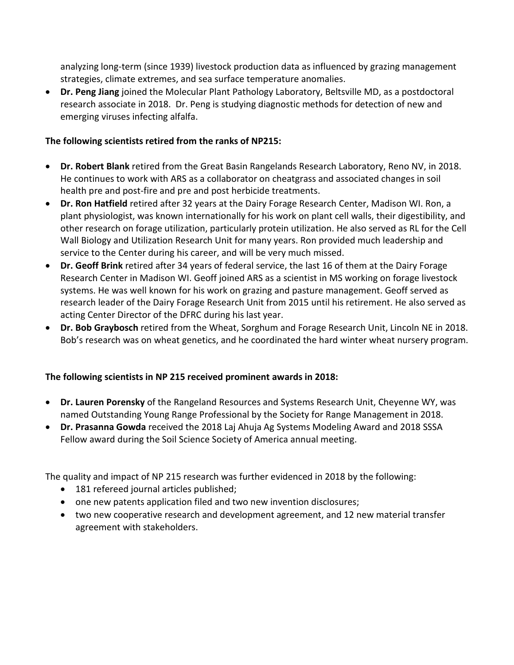analyzing long-term (since 1939) livestock production data as influenced by grazing management strategies, climate extremes, and sea surface temperature anomalies.

• **Dr. Peng Jiang** joined the Molecular Plant Pathology Laboratory, Beltsville MD, as a postdoctoral research associate in 2018. Dr. Peng is studying diagnostic methods for detection of new and emerging viruses infecting alfalfa.

# **The following scientists retired from the ranks of NP215:**

- **Dr. Robert Blank** retired from the Great Basin Rangelands Research Laboratory, Reno NV, in 2018. He continues to work with ARS as a collaborator on cheatgrass and associated changes in soil health pre and post-fire and pre and post herbicide treatments.
- **Dr. Ron Hatfield** retired after 32 years at the Dairy Forage Research Center, Madison WI. Ron, a plant physiologist, was known internationally for his work on plant cell walls, their digestibility, and other research on forage utilization, particularly protein utilization. He also served as RL for the Cell Wall Biology and Utilization Research Unit for many years. Ron provided much leadership and service to the Center during his career, and will be very much missed.
- **Dr. Geoff Brink** retired after 34 years of federal service, the last 16 of them at the Dairy Forage Research Center in Madison WI. Geoff joined ARS as a scientist in MS working on forage livestock systems. He was well known for his work on grazing and pasture management. Geoff served as research leader of the Dairy Forage Research Unit from 2015 until his retirement. He also served as acting Center Director of the DFRC during his last year.
- **Dr. Bob Graybosch** retired from the Wheat, Sorghum and Forage Research Unit, Lincoln NE in 2018. Bob's research was on wheat genetics, and he coordinated the hard winter wheat nursery program.

# **The following scientists in NP 215 received prominent awards in 2018:**

- **Dr. Lauren Porensky** of the Rangeland Resources and Systems Research Unit, Cheyenne WY, was named Outstanding Young Range Professional by the Society for Range Management in 2018.
- **Dr. Prasanna Gowda** received the 2018 Laj Ahuja Ag Systems Modeling Award and 2018 SSSA Fellow award during the Soil Science Society of America annual meeting.

The quality and impact of NP 215 research was further evidenced in 2018 by the following:

- 181 refereed journal articles published;
- one new patents application filed and two new invention disclosures;
- two new cooperative research and development agreement, and 12 new material transfer agreement with stakeholders.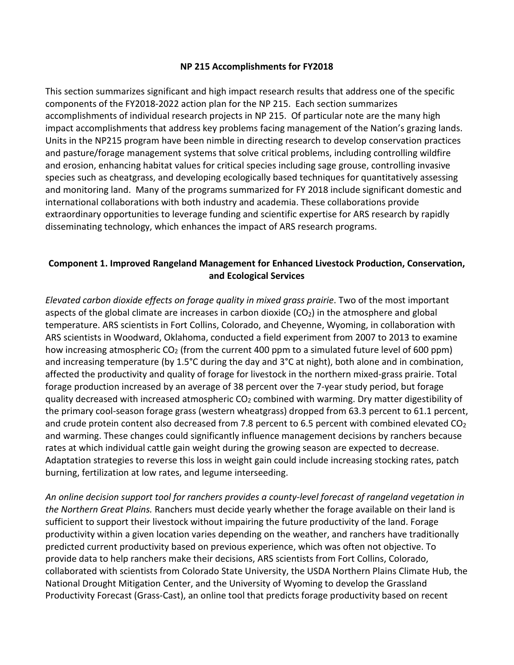### **NP 215 Accomplishments for FY2018**

This section summarizes significant and high impact research results that address one of the specific components of the FY2018-2022 action plan for the NP 215. Each section summarizes accomplishments of individual research projects in NP 215. Of particular note are the many high impact accomplishments that address key problems facing management of the Nation's grazing lands. Units in the NP215 program have been nimble in directing research to develop conservation practices and pasture/forage management systems that solve critical problems, including controlling wildfire and erosion, enhancing habitat values for critical species including sage grouse, controlling invasive species such as cheatgrass, and developing ecologically based techniques for quantitatively assessing and monitoring land. Many of the programs summarized for FY 2018 include significant domestic and international collaborations with both industry and academia. These collaborations provide extraordinary opportunities to leverage funding and scientific expertise for ARS research by rapidly disseminating technology, which enhances the impact of ARS research programs.

# **Component 1. Improved Rangeland Management for Enhanced Livestock Production, Conservation, and Ecological Services**

*Elevated carbon dioxide effects on forage quality in mixed grass prairie*. Two of the most important aspects of the global climate are increases in carbon dioxide  $(CO<sub>2</sub>)$  in the atmosphere and global temperature. ARS scientists in Fort Collins, Colorado, and Cheyenne, Wyoming, in collaboration with ARS scientists in Woodward, Oklahoma, conducted a field experiment from 2007 to 2013 to examine how increasing atmospheric CO<sub>2</sub> (from the current 400 ppm to a simulated future level of 600 ppm) and increasing temperature (by 1.5°C during the day and 3°C at night), both alone and in combination, affected the productivity and quality of forage for livestock in the northern mixed-grass prairie. Total forage production increased by an average of 38 percent over the 7-year study period, but forage quality decreased with increased atmospheric  $CO<sub>2</sub>$  combined with warming. Dry matter digestibility of the primary cool-season forage grass (western wheatgrass) dropped from 63.3 percent to 61.1 percent, and crude protein content also decreased from 7.8 percent to 6.5 percent with combined elevated  $CO<sub>2</sub>$ and warming. These changes could significantly influence management decisions by ranchers because rates at which individual cattle gain weight during the growing season are expected to decrease. Adaptation strategies to reverse this loss in weight gain could include increasing stocking rates, patch burning, fertilization at low rates, and legume interseeding.

*An online decision support tool for ranchers provides a county-level forecast of rangeland vegetation in the Northern Great Plains.* Ranchers must decide yearly whether the forage available on their land is sufficient to support their livestock without impairing the future productivity of the land. Forage productivity within a given location varies depending on the weather, and ranchers have traditionally predicted current productivity based on previous experience, which was often not objective. To provide data to help ranchers make their decisions, ARS scientists from Fort Collins, Colorado, collaborated with scientists from Colorado State University, the USDA Northern Plains Climate Hub, the National Drought Mitigation Center, and the University of Wyoming to develop the Grassland Productivity Forecast (Grass-Cast), an online tool that predicts forage productivity based on recent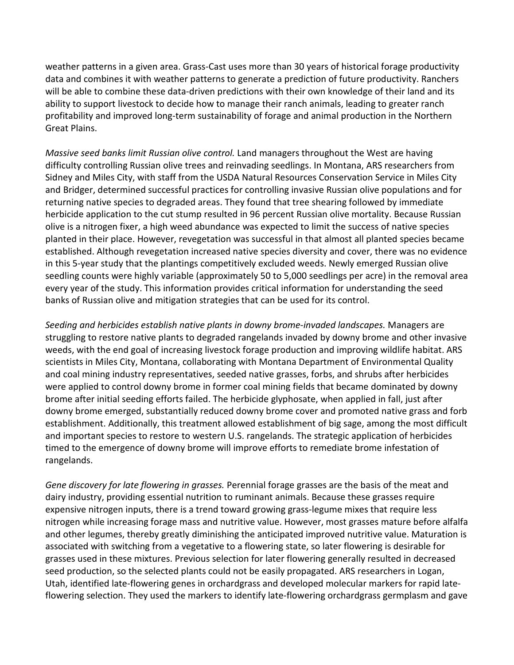weather patterns in a given area. Grass-Cast uses more than 30 years of historical forage productivity data and combines it with weather patterns to generate a prediction of future productivity. Ranchers will be able to combine these data-driven predictions with their own knowledge of their land and its ability to support livestock to decide how to manage their ranch animals, leading to greater ranch profitability and improved long-term sustainability of forage and animal production in the Northern Great Plains.

*Massive seed banks limit Russian olive control.* Land managers throughout the West are having difficulty controlling Russian olive trees and reinvading seedlings. In Montana, ARS researchers from Sidney and Miles City, with staff from the USDA Natural Resources Conservation Service in Miles City and Bridger, determined successful practices for controlling invasive Russian olive populations and for returning native species to degraded areas. They found that tree shearing followed by immediate herbicide application to the cut stump resulted in 96 percent Russian olive mortality. Because Russian olive is a nitrogen fixer, a high weed abundance was expected to limit the success of native species planted in their place. However, revegetation was successful in that almost all planted species became established. Although revegetation increased native species diversity and cover, there was no evidence in this 5-year study that the plantings competitively excluded weeds. Newly emerged Russian olive seedling counts were highly variable (approximately 50 to 5,000 seedlings per acre) in the removal area every year of the study. This information provides critical information for understanding the seed banks of Russian olive and mitigation strategies that can be used for its control.

*Seeding and herbicides establish native plants in downy brome-invaded landscapes.* Managers are struggling to restore native plants to degraded rangelands invaded by downy brome and other invasive weeds, with the end goal of increasing livestock forage production and improving wildlife habitat. ARS scientists in Miles City, Montana, collaborating with Montana Department of Environmental Quality and coal mining industry representatives, seeded native grasses, forbs, and shrubs after herbicides were applied to control downy brome in former coal mining fields that became dominated by downy brome after initial seeding efforts failed. The herbicide glyphosate, when applied in fall, just after downy brome emerged, substantially reduced downy brome cover and promoted native grass and forb establishment. Additionally, this treatment allowed establishment of big sage, among the most difficult and important species to restore to western U.S. rangelands. The strategic application of herbicides timed to the emergence of downy brome will improve efforts to remediate brome infestation of rangelands.

*Gene discovery for late flowering in grasses.* Perennial forage grasses are the basis of the meat and dairy industry, providing essential nutrition to ruminant animals. Because these grasses require expensive nitrogen inputs, there is a trend toward growing grass-legume mixes that require less nitrogen while increasing forage mass and nutritive value. However, most grasses mature before alfalfa and other legumes, thereby greatly diminishing the anticipated improved nutritive value. Maturation is associated with switching from a vegetative to a flowering state, so later flowering is desirable for grasses used in these mixtures. Previous selection for later flowering generally resulted in decreased seed production, so the selected plants could not be easily propagated. ARS researchers in Logan, Utah, identified late-flowering genes in orchardgrass and developed molecular markers for rapid lateflowering selection. They used the markers to identify late-flowering orchardgrass germplasm and gave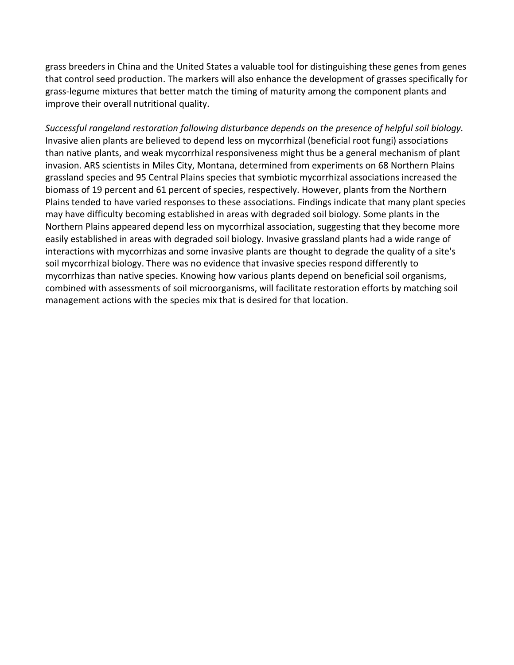grass breeders in China and the United States a valuable tool for distinguishing these genes from genes that control seed production. The markers will also enhance the development of grasses specifically for grass-legume mixtures that better match the timing of maturity among the component plants and improve their overall nutritional quality.

*Successful rangeland restoration following disturbance depends on the presence of helpful soil biology.* Invasive alien plants are believed to depend less on mycorrhizal (beneficial root fungi) associations than native plants, and weak mycorrhizal responsiveness might thus be a general mechanism of plant invasion. ARS scientists in Miles City, Montana, determined from experiments on 68 Northern Plains grassland species and 95 Central Plains species that symbiotic mycorrhizal associations increased the biomass of 19 percent and 61 percent of species, respectively. However, plants from the Northern Plains tended to have varied responses to these associations. Findings indicate that many plant species may have difficulty becoming established in areas with degraded soil biology. Some plants in the Northern Plains appeared depend less on mycorrhizal association, suggesting that they become more easily established in areas with degraded soil biology. Invasive grassland plants had a wide range of interactions with mycorrhizas and some invasive plants are thought to degrade the quality of a site's soil mycorrhizal biology. There was no evidence that invasive species respond differently to mycorrhizas than native species. Knowing how various plants depend on beneficial soil organisms, combined with assessments of soil microorganisms, will facilitate restoration efforts by matching soil management actions with the species mix that is desired for that location.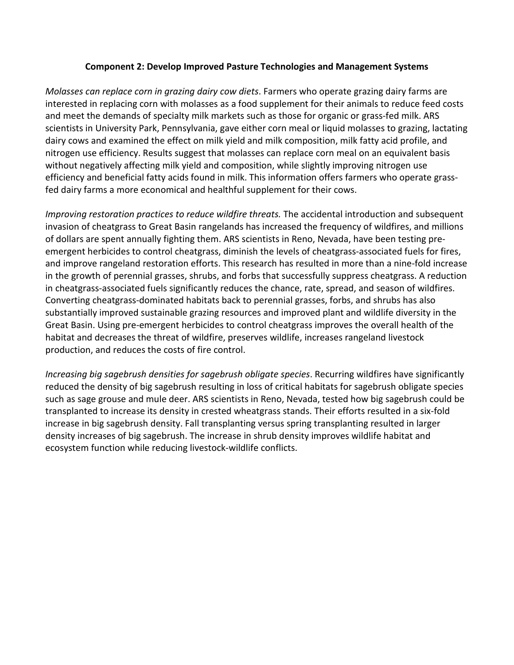### **Component 2: Develop Improved Pasture Technologies and Management Systems**

*Molasses can replace corn in grazing dairy cow diets*. Farmers who operate grazing dairy farms are interested in replacing corn with molasses as a food supplement for their animals to reduce feed costs and meet the demands of specialty milk markets such as those for organic or grass-fed milk. ARS scientists in University Park, Pennsylvania, gave either corn meal or liquid molasses to grazing, lactating dairy cows and examined the effect on milk yield and milk composition, milk fatty acid profile, and nitrogen use efficiency. Results suggest that molasses can replace corn meal on an equivalent basis without negatively affecting milk yield and composition, while slightly improving nitrogen use efficiency and beneficial fatty acids found in milk. This information offers farmers who operate grassfed dairy farms a more economical and healthful supplement for their cows.

*Improving restoration practices to reduce wildfire threats.* The accidental introduction and subsequent invasion of cheatgrass to Great Basin rangelands has increased the frequency of wildfires, and millions of dollars are spent annually fighting them. ARS scientists in Reno, Nevada, have been testing preemergent herbicides to control cheatgrass, diminish the levels of cheatgrass-associated fuels for fires, and improve rangeland restoration efforts. This research has resulted in more than a nine-fold increase in the growth of perennial grasses, shrubs, and forbs that successfully suppress cheatgrass. A reduction in cheatgrass-associated fuels significantly reduces the chance, rate, spread, and season of wildfires. Converting cheatgrass-dominated habitats back to perennial grasses, forbs, and shrubs has also substantially improved sustainable grazing resources and improved plant and wildlife diversity in the Great Basin. Using pre-emergent herbicides to control cheatgrass improves the overall health of the habitat and decreases the threat of wildfire, preserves wildlife, increases rangeland livestock production, and reduces the costs of fire control.

*Increasing big sagebrush densities for sagebrush obligate species*. Recurring wildfires have significantly reduced the density of big sagebrush resulting in loss of critical habitats for sagebrush obligate species such as sage grouse and mule deer. ARS scientists in Reno, Nevada, tested how big sagebrush could be transplanted to increase its density in crested wheatgrass stands. Their efforts resulted in a six-fold increase in big sagebrush density. Fall transplanting versus spring transplanting resulted in larger density increases of big sagebrush. The increase in shrub density improves wildlife habitat and ecosystem function while reducing livestock-wildlife conflicts.